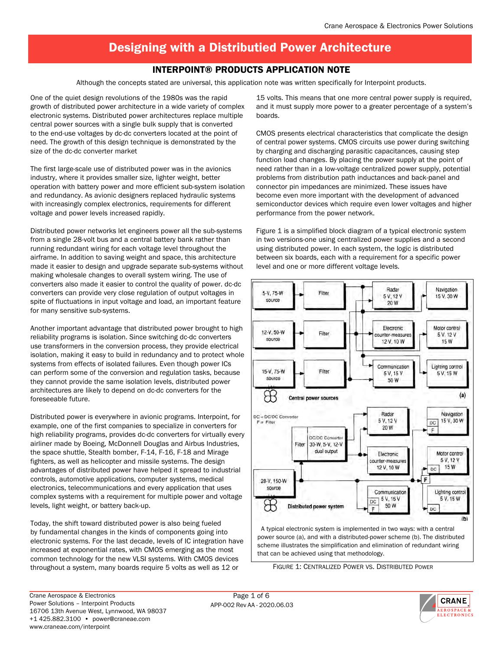## Interpoint® Products Application Note

Although the concepts stated are universal, this application note was written specifically for Interpoint products.

One of the quiet design revolutions of the 1980s was the rapid growth of distributed power architecture in a wide variety of complex electronic systems. Distributed power architectures replace multiple central power sources with a single bulk supply that is converted to the end-use voltages by dc-dc converters located at the point of need. The growth of this design technique is demonstrated by the size of the dc-dc converter market

The first large-scale use of distributed power was in the avionics industry, where it provides smaller size, lighter weight, better operation with battery power and more efficient sub-system isolation and redundancy. As avionic designers replaced hydraulic systems with increasingly complex electronics, requirements for different voltage and power levels increased rapidly.

Distributed power networks let engineers power all the sub-systems from a single 28-volt bus and a central battery bank rather than running redundant wiring for each voltage level throughout the airframe. In addition to saving weight and space, this architecture made it easier to design and upgrade separate sub-systems without making wholesale changes to overall system wiring. The use of converters also made it easier to control the quality of power. dc-dc converters can provide very close regulation of output voltages in spite of fluctuations in input voltage and load, an important feature for many sensitive sub-systems.

Another important advantage that distributed power brought to high reliability programs is isolation. Since switching dc-dc converters use transformers in the conversion process, they provide electrical isolation, making it easy to build in redundancy and to protect whole systems from effects of isolated failures. Even though power ICs can perform some of the conversion and regulation tasks, because they cannot provide the same isolation levels, distributed power architectures are likely to depend on dc-dc converters for the foreseeable future.

Distributed power is everywhere in avionic programs. Interpoint, for example, one of the first companies to specialize in converters for high reliability programs, provides dc-dc converters for virtually every airliner made by Boeing, McDonnell Douglas and Airbus Industries, the space shuttle, Stealth bomber, F-14, F-16, F-18 and Mirage fighters, as well as helicopter and missile systems. The design advantages of distributed power have helped it spread to industrial controls, automotive applications, computer systems, medical electronics, telecommunications and every application that uses complex systems with a requirement for multiple power and voltage levels, light weight, or battery back-up.

Today, the shift toward distributed power is also being fueled by fundamental changes in the kinds of components going into electronic systems. For the last decade, levels of IC integration have increased at exponential rates, with CMOS emerging as the most common technology for the new VLSI systems. With CMOS devices throughout a system, many boards require 5 volts as well as 12 or

15 volts. This means that one more central power supply is required, and it must supply more power to a greater percentage of a system's boards.

CMOS presents electrical characteristics that complicate the design of central power systems. CMOS circuits use power during switching by charging and discharging parasitic capacitances, causing step function load changes. By placing the power supply at the point of need rather than in a low-voltage centralized power supply, potential problems from distribution path inductances and back-panel and connector pin impedances are minimized. These issues have become even more important with the development of advanced semiconductor devices which require even lower voltages and higher performance from the power network.

Figure 1 is a simplified block diagram of a typical electronic system in two versions-one using centralized power supplies and a second using distributed power. In each system, the logic is distributed between six boards, each with a requirement for a specific power level and one or more different voltage levels.



 A typical electronic system is implemented in two ways: with a central power source (a), and with a distributed-power scheme (b). The distributed scheme illustrates the simplification and elimination of redundant wiring that can be achieved using that methodology.

Figure 1: Centralized Power vs. Distributed Power

APP-002 Rev AA - 2020.06.03 Page 1 of 6

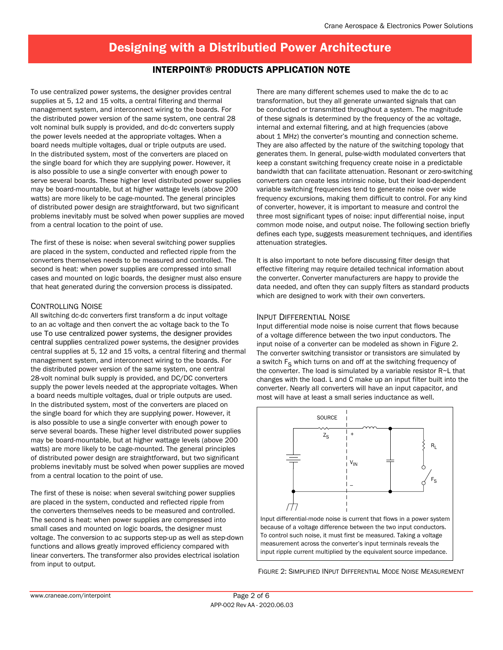## Interpoint® Products Application Note

To use centralized power systems, the designer provides central supplies at 5, 12 and 15 volts, a central filtering and thermal management system, and interconnect wiring to the boards. For the distributed power version of the same system, one central 28 volt nominal bulk supply is provided, and dc-dc converters supply the power levels needed at the appropriate voltages. When a board needs multiple voltages, dual or triple outputs are used. In the distributed system, most of the converters are placed on the single board for which they are supplying power. However, it is also possible to use a single converter with enough power to serve several boards. These higher level distributed power supplies may be board-mountable, but at higher wattage levels (above 200 watts) are more likely to be cage-mounted. The general principles of distributed power design are straightforward, but two significant problems inevitably must be solved when power supplies are moved from a central location to the point of use.

The first of these is noise: when several switching power supplies are placed in the system, conducted and reflected ripple from the converters themselves needs to be measured and controlled. The second is heat: when power supplies are compressed into small cases and mounted on logic boards, the designer must also ensure that heat generated during the conversion process is dissipated.

### Controlling Noise

All switching dc-dc converters first transform a dc input voltage to an ac voltage and then convert the ac voltage back to the To use To use centralized power systems, the designer provides central supplies centralized power systems, the designer provides central supplies at 5, 12 and 15 volts, a central filtering and thermal management system, and interconnect wiring to the boards. For the distributed power version of the same system, one central 28-volt nominal bulk supply is provided, and DC/DC converters supply the power levels needed at the appropriate voltages. When a board needs multiple voltages, dual or triple outputs are used. In the distributed system, most of the converters are placed on the single board for which they are supplying power. However, it is also possible to use a single converter with enough power to serve several boards. These higher level distributed power supplies may be board-mountable, but at higher wattage levels (above 200 watts) are more likely to be cage-mounted. The general principles of distributed power design are straightforward, but two significant problems inevitably must be solved when power supplies are moved from a central location to the point of use.

The first of these is noise: when several switching power supplies are placed in the system, conducted and reflected ripple from the converters themselves needs to be measured and controlled. The second is heat: when power supplies are compressed into small cases and mounted on logic boards, the designer must voltage. The conversion to ac supports step-up as well as step-down functions and allows greatly improved efficiency compared with linear converters. The transformer also provides electrical isolation from input to output.

There are many different schemes used to make the dc to ac transformation, but they all generate unwanted signals that can be conducted or transmitted throughout a system. The magnitude of these signals is determined by the frequency of the ac voltage, internal and external filtering, and at high frequencies (above about 1 MHz) the converter's mounting and connection scheme. They are also affected by the nature of the switching topology that generates them. In general, pulse-width modulated converters that keep a constant switching frequency create noise in a predictable bandwidth that can facilitate attenuation. Resonant or zero-switching converters can create less intrinsic noise, but their load-dependent variable switching frequencies tend to generate noise over wide frequency excursions, making them difficult to control. For any kind of converter, however, it is important to measure and control the three most significant types of noise: input differential noise, input common mode noise, and output noise. The following section briefly defines each type, suggests measurement techniques, and identifies attenuation strategies.

It is also important to note before discussing filter design that effective filtering may require detailed technical information about the converter. Converter manufacturers are happy to provide the data needed, and often they can supply filters as standard products which are designed to work with their own converters.

### Input Differential Noise

Input differential mode noise is noise current that flows because of a voltage difference between the two input conductors. The input noise of a converter can be modeled as shown in Figure 2. The converter switching transistor or transistors are simulated by a switch  $F_S$  which turns on and off at the switching frequency of the converter. The load is simulated by a variable resistor R~L that changes with the load. L and C make up an input filter built into the converter. Nearly all converters will have an input capacitor, and most will have at least a small series inductance as well.



because of a voltage difference between the two input conductors. To control such noise, it must first be measured. Taking a voltage measurement across the converter's input terminals reveals the input ripple current multiplied by the equivalent source impedance.

Figure 2: Simplified INput Differential Mode Noise Measurement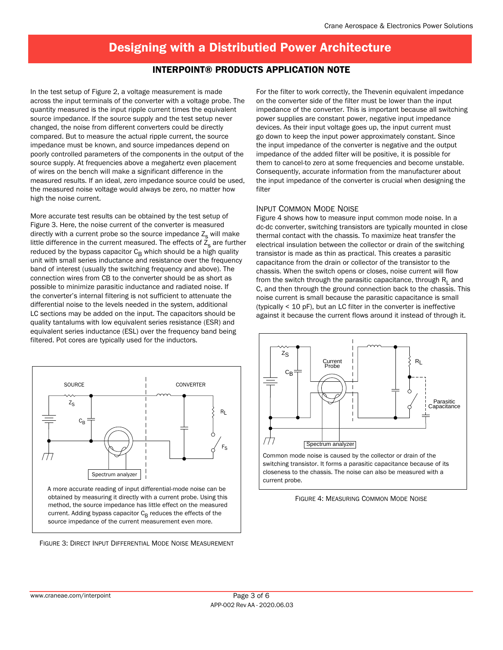### Interpoint® Products Application Note

In the test setup of Figure 2, a voltage measurement is made across the input terminals of the converter with a voltage probe. The quantity measured is the input ripple current times the equivalent source impedance. If the source supply and the test setup never changed, the noise from different converters could be directly compared. But to measure the actual ripple current, the source impedance must be known, and source impedances depend on poorly controlled parameters of the components in the output of the source supply. At frequencies above a megahertz even placement of wires on the bench will make a significant difference in the measured results. If an ideal, zero impedance source could be used, the measured noise voltage would always be zero, no matter how high the noise current.

More accurate test results can be obtained by the test setup of Figure 3. Here, the noise current of the converter is measured directly with a current probe so the source impedance  $Z_s$  will make little difference in the current measured. The effects of  $\overline{Z}_s$  are further reduced by the bypass capacitor  $C_B$  which should be a high quality unit with small series inductance and resistance over the frequency band of interest (usually the switching frequency and above). The connection wires from CB to the converter should be as short as possible to minimize parasitic inductance and radiated noise. If the converter's internal filtering is not sufficient to attenuate the differential noise to the levels needed in the system, additional LC sections may be added on the input. The capacitors should be quality tantalums with low equivalent series resistance (ESR) and equivalent series inductance (ESL) over the frequency band being filtered. Pot cores are typically used for the inductors.



Figure 3: Direct Input Differential Mode Noise Measurement

For the filter to work correctly, the Thevenin equivalent impedance on the converter side of the filter must be lower than the input impedance of the converter. This is important because all switching power supplies are constant power, negative input impedance devices. As their input voltage goes up, the input current must go down to keep the input power approximately constant. Since the input impedance of the converter is negative and the output impedance of the added filter will be positive, it is possible for them to cancel-to zero at some frequencies and become unstable. Consequently, accurate information from the manufacturer about the input impedance of the converter is crucial when designing the filter

### Input Common Mode Noise

Figure 4 shows how to measure input common mode noise. In a dc-dc converter, switching transistors are typically mounted in close thermal contact with the chassis. To maximize heat transfer the electrical insulation between the collector or drain of the switching transistor is made as thin as practical. This creates a parasitic capacitance from the drain or collector of the transistor to the chassis. When the switch opens or closes, noise current will flow from the switch through the parasitic capacitance, through  $R_1$  and C, and then through the ground connection back to the chassis. This noise current is small because the parasitic capacitance is small (typically < 10 pF), but an LC filter in the converter is ineffective against it because the current flows around it instead of through it.



Common mode noise is caused by the collector or drain of the switching transistor. It forms a parasitic capacitance because of its closeness to the chassis. The noise can also be measured with a current probe.

Figure 4: Measuring Common Mode Noise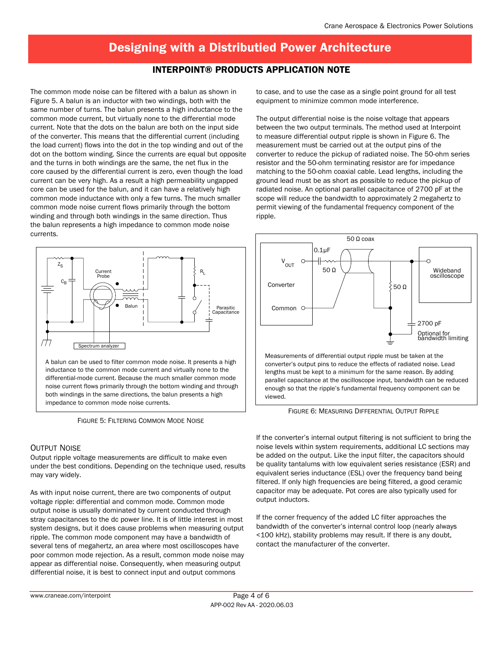### Interpoint® Products Application Note

The common mode noise can be filtered with a balun as shown in Figure 5. A balun is an inductor with two windings, both with the same number of turns. The balun presents a high inductance to the common mode current, but virtually none to the differential mode current. Note that the dots on the balun are both on the input side of the converter. This means that the differential current (including the load current) flows into the dot in the top winding and out of the dot on the bottom winding. Since the currents are equal but opposite and the turns in both windings are the same, the net flux in the core caused by the differential current is zero, even though the load current can be very high. As a result a high permeability ungapped core can be used for the balun, and it can have a relatively high common mode inductance with only a few turns. The much smaller common mode noise current flows primarily through the bottom winding and through both windings in the same direction. Thus the balun represents a high impedance to common mode noise currents.



inductance to the common mode current and virtually none to the differential-mode current. Because the much smaller common mode noise current flows primarily through the bottom winding and through both windings in the same directions, the balun presents a high impedance to common mode noise currents.

Figure 5: Filtering Common Mode Noise

#### Output Noise

Output ripple voltage measurements are difficult to make even under the best conditions. Depending on the technique used, results may vary widely.

As with input noise current, there are two components of output voltage ripple: differential and common mode. Common mode output noise is usually dominated by current conducted through stray capacitances to the dc power line. It is of little interest in most system designs, but it does cause problems when measuring output ripple. The common mode component may have a bandwidth of several tens of megahertz, an area where most oscilloscopes have poor common mode rejection. As a result, common mode noise may appear as differential noise. Consequently, when measuring output differential noise, it is best to connect input and output commons

to case, and to use the case as a single point ground for all test equipment to minimize common mode interference.

The output differential noise is the noise voltage that appears between the two output terminals. The method used at Interpoint to measure differential output ripple is shown in Figure 6. The measurement must be carried out at the output pins of the converter to reduce the pickup of radiated noise. The 50-ohm series resistor and the 50-ohm terminating resistor are for impedance matching to the 50-ohm coaxial cable. Lead lengths, including the ground lead must be as short as possible to reduce the pickup of radiated noise. An optional parallel capacitance of 2700 pF at the scope will reduce the bandwidth to approximately 2 megahertz to permit viewing of the fundamental frequency component of the ripple.



Measurements of differential output ripple must be taken at the converter's output pins to reduce the effects of radiated noise. Lead lengths must be kept to a minimum for the same reason. By adding parallel capacitance at the oscilloscope input, bandwidth can be reduced enough so that the ripple's fundamental frequency component can be viewed.

Figure 6: Measuring Differential Output Ripple

If the converter's internal output filtering is not sufficient to bring the noise levels within system requirements, additional LC sections may be added on the output. Like the input filter, the capacitors should be quality tantalums with low equivalent series resistance (ESR) and equivalent series inductance (ESL) over the frequency band being filtered. If only high frequencies are being filtered, a good ceramic capacitor may be adequate. Pot cores are also typically used for output inductors.

If the corner frequency of the added LC filter approaches the bandwidth of the converter's internal control loop (nearly always <100 kHz), stability problems may result. If there is any doubt, contact the manufacturer of the converter.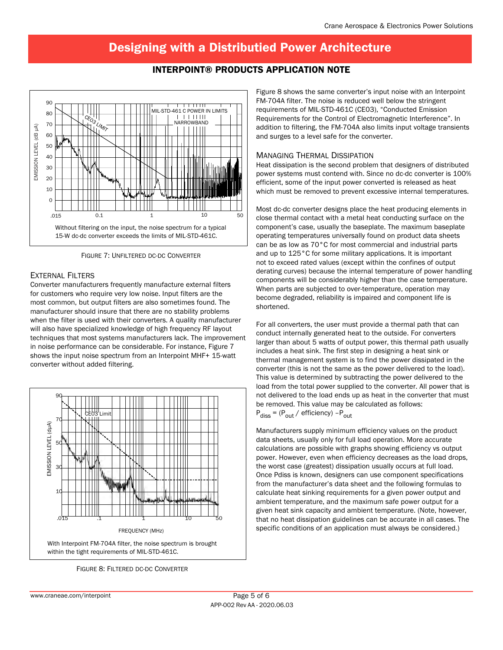## Interpoint® Products Application Note



Figure 7: Unfiltered dc-dc Converter

### External Filters

Converter manufacturers frequently manufacture external filters for customers who require very low noise. Input filters are the most common, but output filters are also sometimes found. The manufacturer should insure that there are no stability problems when the filter is used with their converters. A quality manufacturer will also have specialized knowledge of high frequency RF layout techniques that most systems manufacturers lack. The improvement in noise performance can be considerable. For instance, Figure 7 shows the input noise spectrum from an Interpoint MHF+ 15-watt converter without added filtering.



FIGURE 8: FILTERED DC-DC CONVERTER

Figure 8 shows the same converter's input noise with an Interpoint FM-704A filter. The noise is reduced well below the stringent requirements of MIL-STD-461C (CE03), "Conducted Emission Requirements for the Control of Electromagnetic Interference". In addition to filtering, the FM-704A also limits input voltage transients and surges to a level safe for the converter.

### Managing Thermal Dissipation

Heat dissipation is the second problem that designers of distributed power systems must contend with. Since no dc-dc converter is 100% efficient, some of the input power converted is released as heat which must be removed to prevent excessive internal temperatures.

Most dc-dc converter designs place the heat producing elements in close thermal contact with a metal heat conducting surface on the component's case, usually the baseplate. The maximum baseplate operating temperatures universally found on product data sheets can be as low as 70°C for most commercial and industrial parts and up to 125°C for some military applications. It is important not to exceed rated values (except within the confines of output derating curves) because the internal temperature of power handling components will be considerably higher than the case temperature. When parts are subjected to over-temperature, operation may become degraded, reliability is impaired and component life is shortened.

For all converters, the user must provide a thermal path that can conduct internally generated heat to the outside. For converters larger than about 5 watts of output power, this thermal path usually includes a heat sink. The first step in designing a heat sink or thermal management system is to find the power dissipated in the converter (this is not the same as the power delivered to the load). This value is determined by subtracting the power delivered to the load from the total power supplied to the converter. All power that is not delivered to the load ends up as heat in the converter that must be removed. This value may be calculated as follows:  $P_{\text{diss}}$  = ( $P_{\text{out}}$  / efficiency) - $P_{\text{out}}$ 

Manufacturers supply minimum efficiency values on the product data sheets, usually only for full load operation. More accurate calculations are possible with graphs showing efficiency vs output power. However, even when efficiency decreases as the load drops, the worst case (greatest) dissipation usually occurs at full load. Once Pdiss is known, designers can use component specifications from the manufacturer's data sheet and the following formulas to calculate heat sinking requirements for a given power output and ambient temperature, and the maximum safe power output for a given heat sink capacity and ambient temperature. (Note, however, that no heat dissipation guidelines can be accurate in all cases. The specific conditions of an application must always be considered.)